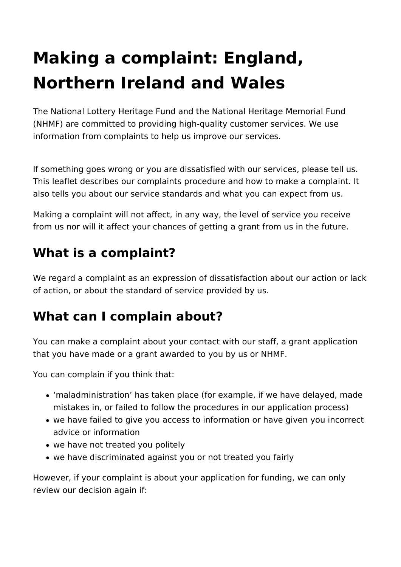# **Making a complaint: England, Northern Ireland and Wales**

The National Lottery Heritage Fund and the National Heritage Memorial Fund (NHMF) are committed to providing high-quality customer services. We use information from complaints to help us improve our services.

If something goes wrong or you are dissatisfied with our services, please tell us. This leaflet describes our complaints procedure and how to make a complaint. It also tells you about our service standards and what you can expect from us.

Making a complaint will not affect, in any way, the level of service you receive from us nor will it affect your chances of getting a grant from us in the future.

# **What is a complaint?**

We regard a complaint as an expression of dissatisfaction about our action or lack of action, or about the standard of service provided by us.

# **What can I complain about?**

You can make a complaint about your contact with our staff, a grant application that you have made or a grant awarded to you by us or NHMF.

You can complain if you think that:

- 'maladministration' has taken place (for example, if we have delayed, made mistakes in, or failed to follow the procedures in our application process)
- we have failed to give you access to information or have given you incorrect advice or information
- we have not treated you politely
- we have discriminated against you or not treated you fairly

However, if your complaint is about your application for funding, we can only review our decision again if: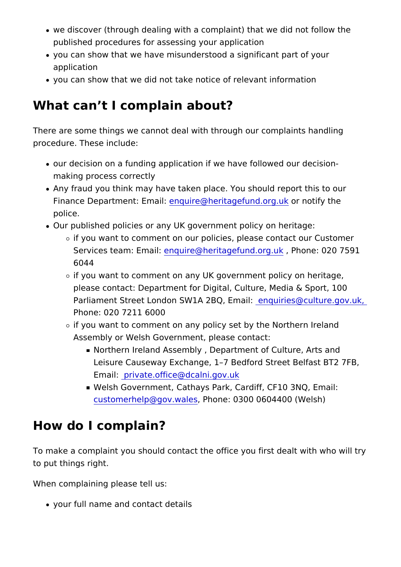- we discover (through dealing with a complaint) that we did r published procedures for assessing your application
- you can show that we have misunderstood a significant part application
- you can show that we did not take notice of relevant informa

### What can t I complain about?

There are some things we cannot deal with through our complai procedure. These include:

- our decision on a funding application if we have followed ou making process correctly
- Any fraud you think may have taken place. You should repor Finance Department: eEtion putifie @heritagefundo.org.org.ukfy the police.
- . Our published policies or any UK government policy on herit
	- $\circ$  if you want to comment on our policies, please contact o Services team: Emquire@heritagefund.oRhounle: 020 7591 6044
	- $\circ$  if you want to comment on any UK government policy on please contact: Department for Digital, Culture, Media & Parliament Street London SW1A 2BQuiEma@culture.gov.u Phone: 020 7211 6000
	- $\circ$  if you want to comment on any policy set by the Northern Assembly or Welsh Government, please contact:
		- **Northern Ireland Assembly, Department of Culture, A** Leisure Causeway Exchange, 1 7 Bedford Street Belfa Emailprivate.office@dcalni.gov.uk
		- Welsh GovernmCeanthays Park, Cardiff, CF10 3NQ, Ema  $c$ ustomerhelp@gov, w $P$ chloense: 0300 0604400 (Welsh)

# How do I complain?

To make a complaint you should contact the office you first dea to put things right.

When complaining please tell us:

your full name and contact details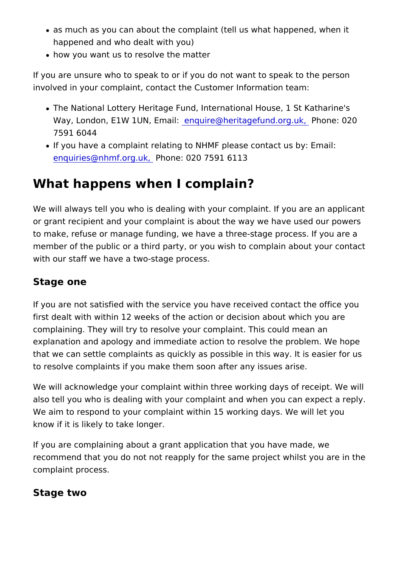- as much as you can about the complaint (tell us what happe happened and who dealt with you)
- how you want us to resolve the matter

If you are unsure who to speak to or if you do not want to spea involved in your complaint, contact the Customer Information te

- The National Lottery Heritage Fund, International House, 1 Way, London,  $E1$ W 1UN en Equation is @ heritagefund. Poing nuck, 020 7591 6044
- . If you have a complaint relating to NHMF please contact us [enquiries@nhmf.o](mailto:enquiries@nhmf.org.uk)r $R_0$ hone: 020 7591 6113

### What happens when I complain?

We will always tell you who is dealing with your complaint. If  $y_1$ or grant recipient and your complaint is about the way we have to make, refuse or manage funding, we have a three-stage proc member of the public or a third party, or you wish to complain a with our staff we have a two-stage process.

#### Stage one

If you are not satisfied with the service you have received cont first dealt with within 12 weeks of the action or decision about complaining. They will try to resolve your complaint. This could explanation and apology and immediate action to resolve the pr that we can settle complaints as quickly as possible in this way to resolve complaints if you make them soon after any issues a

We will acknowledge your complaint within three working days o also tell you who is dealing with your complaint and when you c We aim to respond to your complaint within 15 working days. We know if it is likely to take longer.

If you are complaining about a grant application that you have recommend that you do not not reapply for the same project whi complaint process.

Stage two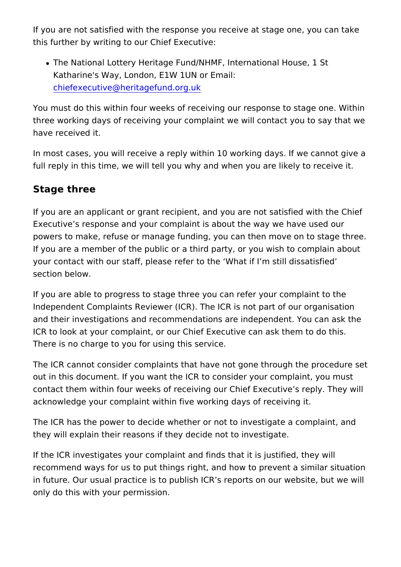If you are not satisfied with the response you receive at stage this further by writing to our Chief Executive:

• The National Lottery Heritage Fund/NHMF, International Hou Katharine's Way, London, E1W 1UN or Email: [chiefexecutive@heritagefu](mailto:chiefexecutive@hlf.org.uk)nd.org.uk

You must do this within four weeks of receiving our response to three working days of receiving your complaint we will contact have received it.

In most cases, you will receive a reply within 10 working days. full reply in this time, we will tell you why and when you are lik

#### Stage three

If you are an applicant or grant recipient, and you are not satis Executive s response and your complaint is about the way we have powers to make, refuse or manage funding, you can then move on If you are a member of the public or a third party, or you wish to your contact with our staff, please refer to the What if I m stil section below.

If you are able to progress to stage three you can refer your co Independent Complaints Reviewer (ICR). The ICR is not part of and their investigations and recommendations are independent. ICR to look at your complaint, or our Chief Executive can ask th There is no charge to you for using this service.

The ICR cannot consider complaints that have not gone through out in this document. If you want the ICR to consider your comp contact them within four weeks of receiving our Chief Executive acknowledge your complaint within five working days of receivir

The ICR has the power to decide whether or not to investigate a they will explain their reasons if they decide not to investigate.

If the ICR investigates your complaint and finds that it is justif recommend ways for us to put things right, and how to prevent in future. Our usual practice is to publish ICR s reports on our only do this with your permission.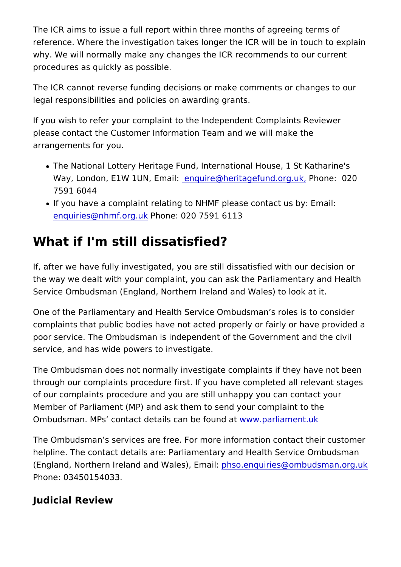The ICR aims to issue a full report within three months of agreed reference. Where the investigation takes longer the ICR will be why. We will normally make any changes the ICR recommends to procedures as quickly as possible.

The ICR cannot reverse funding decisions or make comments or legal responsibilities and policies on awarding grants.

If you wish to refer your complaint to the Independent Complain please contact the Customer Information Team and we will make arrangements for you.

- . The National Lottery Heritage Fund, International House, 1 Way, London, E1W 1UNerEqmuatrie: @heritagefund Pchrognek, 020 7591 6044
- . If you have a complaint relating to NHMF please contact us enquiries  $@$  nhmf.or  $b$  ounke: 020 7591 6113

# What if I'm still dissatisfied?

If, after we have fully investigated, you are still dissatisfied wi the way we dealt with your complaint, you can ask the Parliame Service Ombudsman (England, Northern Ireland and Wales) to I

One of the Parliamentary and Health Service Ombudsman s role complaints that public bodies have not acted properly or fairly poor service. The Ombudsman is independent of the Governmen service, and has wide powers to investigate.

The Ombudsman does not normally investigate complaints if the through our complaints procedure first. If you have completed a of our complaints procedure and you are still unhappy you can Member of Parliament (MP) and ask them to send your complain Ombudsman. MPs contact details can www.pfanulinament.uk

The Ombudsman s services are free. For more information conta helpline. The contact details are: Parliamentary and Health Ser (England, Northern Ireland and Wpahlseos.) en Eqmo iariiles@ombudsman.org Phone: 03450154033.

Judicial Review